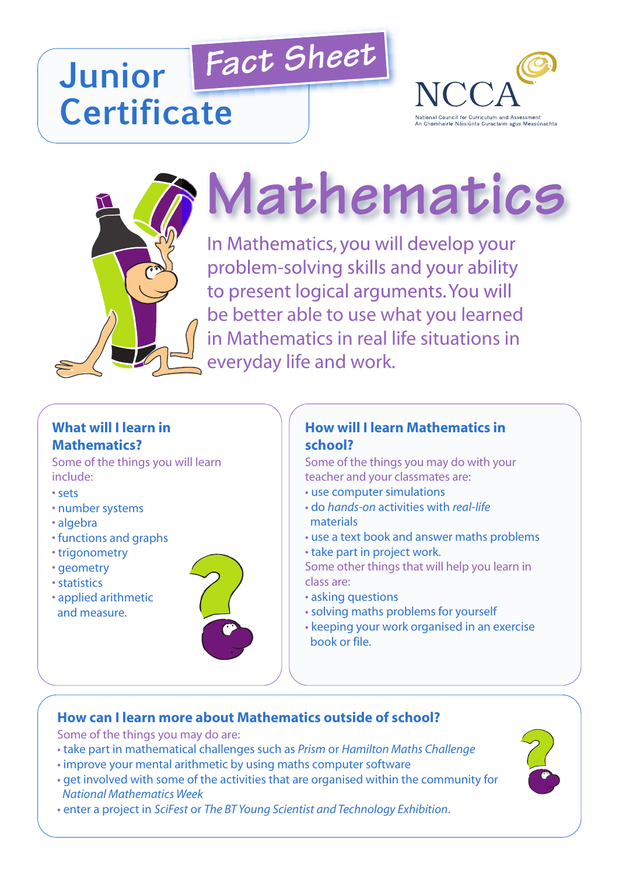# *Fact Sheet* **Junior Certificate**





# **Mathematics**

In Mathematics, you will develop your problem-solving skills and your ability to present logical arguments.You will be better able to use what you learned in Mathematics in real life situations in everyday life and work.

# **What will I learn in Mathematics?**

Some of the things you will learn include:

- sets
- number systems
- algebra
- functions and graphs
- trigonometry
- geometry
- statistics
- applied arithmetic and measure.



#### **How will I learn Mathematics in school?**

Some of the things you may do with your teacher and your classmates are:

- use computer simulations
- do *hands-on* activities with *real-life* materials
- use a text book and answer maths problems
- take part in project work.

Some other things that will help you learn in class are:

- asking questions
- solving maths problems for yourself
- keeping your work organised in an exercise book or file.

### **How can I learn more about Mathematics outside of school?**

Some of the things you may do are:

- take part in mathematical challenges such as *Prism* or *Hamilton Maths Challenge*
- improve your mental arithmetic by using maths computer software
- get involved with some of the activities that are organised within the community for *National Mathematics Week*
- enter a project in *SciFest* or *The BT Young Scientist and Technology Exhibition*.